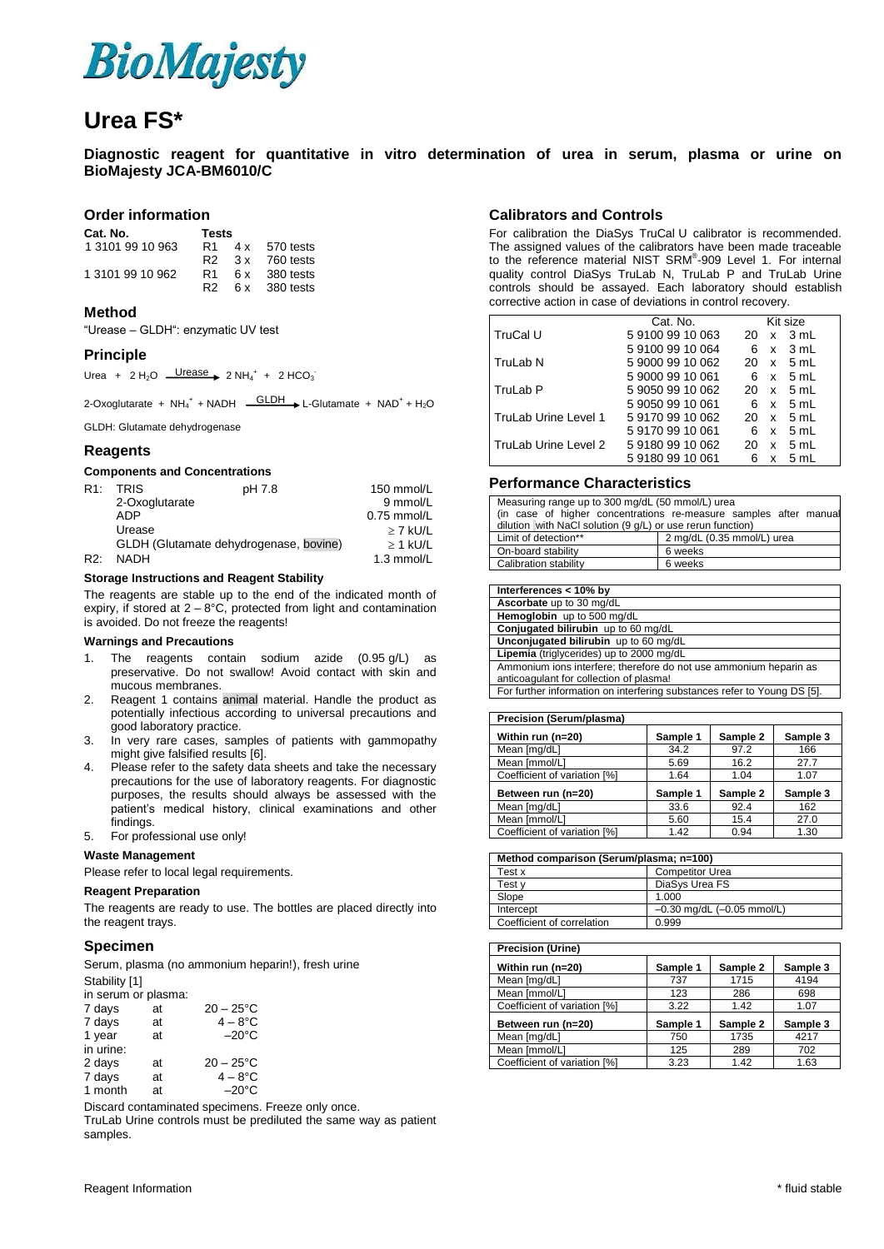

## **Urea FS\***

**Diagnostic reagent for quantitative in vitro determination of urea in serum, plasma or urine on BioMajesty JCA-BM6010/C**

### **Order information**

| Cat. No.         | Tests |
|------------------|-------|
| 1.0101.00.10.000 | D.A   |

| 1 3101 99 10 963 |  | R1 4x 570 tests  |
|------------------|--|------------------|
|                  |  | R2 3x 760 tests  |
| 1 3101 99 10 962 |  | R1 6 x 380 tests |
|                  |  | R2 6 x 380 tests |

### **Method**

"Urease – GLDH": enzymatic UV test

### **Principle**

Urea +  $2 H_2O$   $\frac{\text{Urease}}{\text{Urease}}$   $2 NH_4^+ + 2 HCO_3^-$ 

2-Oxoglutarate +  $NH_4^+$  + NADH  $\frac{GLDH}{\rightarrow}$  L-Glutamate + NAD<sup>+</sup> + H<sub>2</sub>O

GLDH: Glutamate dehydrogenase

### **Reagents**

### **Components and Concentrations**

| R1: | <b>TRIS</b>                            | pH 7.8 | 150 mmol/L    |
|-----|----------------------------------------|--------|---------------|
|     | 2-Oxoglutarate                         |        | 9 mmol/L      |
|     | ADP                                    |        | $0.75$ mmol/L |
|     | Urease                                 |        | $>$ 7 kU/L    |
|     | GLDH (Glutamate dehydrogenase, bovine) |        | $>$ 1 kU/L    |
| R2: | <b>NADH</b>                            |        | 1.3 mmol/L    |

### **Storage Instructions and Reagent Stability**

The reagents are stable up to the end of the indicated month of expiry, if stored at  $2 - 8^{\circ}$ C, protected from light and contamination is avoided. Do not freeze the reagents!

### **Warnings and Precautions**

- 1. The reagents contain sodium azide (0.95 g/L) as preservative. Do not swallow! Avoid contact with skin and mucous membranes.
- 2. Reagent 1 contains animal material. Handle the product as potentially infectious according to universal precautions and good laboratory practice.
- 3. In very rare cases, samples of patients with gammopathy might give falsified results [6].
- 4. Please refer to the safety data sheets and take the necessary precautions for the use of laboratory reagents. For diagnostic purposes, the results should always be assessed with the patient's medical history, clinical examinations and other findings.
- 5. For professional use only!

### **Waste Management**

Please refer to local legal requirements.

#### **Reagent Preparation**

The reagents are ready to use. The bottles are placed directly into the reagent trays.

### **Specimen**

Serum, plasma (no ammonium heparin!), fresh urine Stability [1]

| in serum or plasma: |    |                 |
|---------------------|----|-----------------|
| 7 days              | at | $20 - 25$ °C    |
| 7 days              | at | $4-8$ °C        |
| 1 year              | at | $-20^{\circ}$ C |
| in urine:           |    |                 |
| 2 days              | at | $20 - 25$ °C    |
| 7 days              | at | $4-8$ °C        |
| 1 month             | at | $-20^{\circ}$ C |

Discard contaminated specimens. Freeze only once.

TruLab Urine controls must be prediluted the same way as patient samples.

### **Calibrators and Controls**

For calibration the DiaSys TruCal U calibrator is recommended. The assigned values of the calibrators have been made traceable to the reference material NIST SRM® -909 Level 1. For internal quality control DiaSys TruLab N, TruLab P and TruLab Urine controls should be assayed. Each laboratory should establish corrective action in case of deviations in control recovery.

|                      | Cat. No.         |        | Kit size   |
|----------------------|------------------|--------|------------|
| TruCal U             | 591009910063     | 20.    | x 3 mL     |
|                      | 591009910064     | 6      | x 3 mL     |
| TruLab N             | 590009910062     |        | 20 x 5 mL  |
|                      | 5 9000 99 10 061 |        | 6 x 5 mL   |
| TruLab P             | 590509910062     | 20.    | x 5 mL     |
|                      | 590509910061     |        | 6 x 5 ml   |
| TruLab Urine Level 1 | 591709910062     | 20     | x 5 mL     |
|                      | 591709910061     | 6.     | x 5 mL     |
| TruLab Urine Level 2 | 591809910062     | 20     | $x = 5$ mL |
|                      | 591809910061     | 6<br>x | 5 ml       |

### **Performance Characteristics**

| Measuring range up to 300 mg/dL (50 mmol/L) urea<br>(in case of higher concentrations re-measure samples after manual<br>dilution with NaCl solution (9 g/L) or use rerun function) |                            |  |  |
|-------------------------------------------------------------------------------------------------------------------------------------------------------------------------------------|----------------------------|--|--|
| Limit of detection**                                                                                                                                                                | 2 mg/dL (0.35 mmol/L) urea |  |  |
| On-board stability                                                                                                                                                                  | 6 weeks                    |  |  |
| Calibration stability                                                                                                                                                               | 6 weeks                    |  |  |

| Interferences < 10% by                                                                                       |
|--------------------------------------------------------------------------------------------------------------|
| Ascorbate up to 30 mg/dL                                                                                     |
| Hemoglobin up to 500 mg/dL                                                                                   |
| Conjugated bilirubin up to 60 mg/dL                                                                          |
| Unconjugated bilirubin up to 60 mg/dL                                                                        |
| Lipemia (triglycerides) up to 2000 mg/dL                                                                     |
| Ammonium ions interfere; therefore do not use ammonium heparin as<br>anticoaqulant for collection of plasma! |
| For further information on interfering substances refer to Young DS [5].                                     |
|                                                                                                              |

| Precision (Serum/plasma)     |          |          |          |
|------------------------------|----------|----------|----------|
| Within run (n=20)            | Sample 1 | Sample 2 | Sample 3 |
| Mean [mg/dL]                 | 34.2     | 97.2     | 166      |
| Mean [mmol/L]                | 5.69     | 16.2     | 27.7     |
| Coefficient of variation [%] | 1.64     | 1.04     | 1.07     |
| Between run (n=20)           | Sample 1 | Sample 2 | Sample 3 |
| Mean [mg/dL]                 | 33.6     | 92.4     | 162      |
| Mean [mmol/L]                | 5.60     | 15.4     | 27.0     |
| Coefficient of variation [%] | 1.42     | 0.94     | 1.30     |

| Method comparison (Serum/plasma; n=100) |                                |  |
|-----------------------------------------|--------------------------------|--|
| Test x                                  | <b>Competitor Urea</b>         |  |
| Test v                                  | DiaSys Urea FS                 |  |
| Slope                                   | 1.000                          |  |
| Intercept                               | $-0.30$ mg/dL $(-0.05$ mmol/L) |  |
| Coefficient of correlation              | 0.999                          |  |

| <b>Precision (Urine)</b>     |          |          |          |
|------------------------------|----------|----------|----------|
| Within run (n=20)            | Sample 1 | Sample 2 | Sample 3 |
| Mean [mg/dL]                 | 737      | 1715     | 4194     |
| Mean [mmol/L]                | 123      | 286      | 698      |
| Coefficient of variation [%] | 3.22     | 1.42     | 1.07     |
| Between run (n=20)           | Sample 1 | Sample 2 | Sample 3 |
| Mean [mg/dL]                 | 750      | 1735     | 4217     |
| Mean Immol/Ll                | 125      | 289      | 702      |
| Coefficient of variation [%] | 3.23     | 1.42     | 1.63     |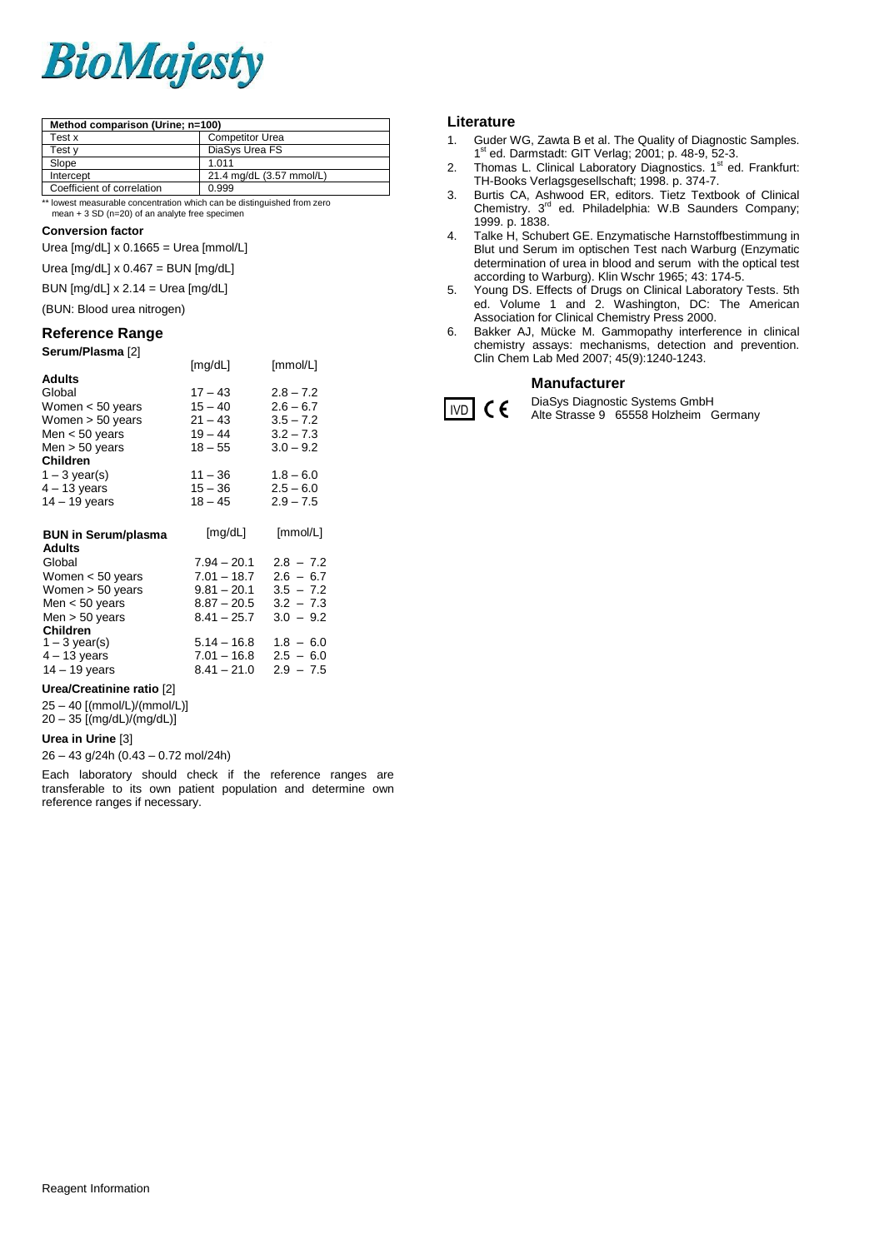# **BioMajesty**

| Method comparison (Urine; n=100) |                          |  |
|----------------------------------|--------------------------|--|
| Test x                           | <b>Competitor Urea</b>   |  |
| Test v                           | DiaSys Urea FS           |  |
| Slope                            | 1.011                    |  |
| Intercept                        | 21.4 mg/dL (3.57 mmol/L) |  |
| Coefficient of correlation       | 0.999                    |  |

\*\* lowest measurable concentration which can be distinguished from zero

mean + 3 SD (n=20) of an analyte free specimen

### **Conversion factor**

Urea [mg/dL] x 0.1665 = Urea [mmol/L]

Urea [mg/dL] x 0.467 = BUN [mg/dL]

BUN [mg/dL] x 2.14 = Urea [mg/dL]

## (BUN: Blood urea nitrogen)

## **Reference Range**

| Serum/Plasma [2]           |               |             |
|----------------------------|---------------|-------------|
|                            | [mg/dL]       | [mmol/L]    |
| Adults                     |               |             |
| Global                     | $17 - 43$     | $2.8 - 7.2$ |
| Women $< 50$ years         | $15 - 40$     | $2.6 - 6.7$ |
| Women $>$ 50 years         | $21 - 43$     | $3.5 - 7.2$ |
| Men $<$ 50 years           | $19 - 44$     | $3.2 - 7.3$ |
| Men $>$ 50 years           | $18 - 55$     | $3.0 - 9.2$ |
| <b>Children</b>            |               |             |
| $1 - 3$ year(s)            | $11 - 36$     | $1.8 - 6.0$ |
| $4 - 13$ years             | $15 - 36$     | $2.5 - 6.0$ |
| 14 – 19 years              | $18 - 45$     | $2.9 - 7.5$ |
| <b>BUN in Serum/plasma</b> | [mg/dL]       | [mmol/L]    |
| <b>Adults</b>              |               |             |
| Global                     | $7.94 - 20.1$ | $2.8 - 7.2$ |
| Women < 50 years           | $7.01 - 18.7$ | $2.6 - 6.7$ |
| Women > 50 years           | $9.81 - 20.1$ | $3.5 - 7.2$ |
| Men $<$ 50 years           | $8.87 - 20.5$ | $3.2 - 7.3$ |
| Men $>$ 50 years           | $8.41 - 25.7$ | $3.0 - 9.2$ |
| <b>Children</b>            |               |             |
| $1 - 3$ year(s)            | $5.14 - 16.8$ | $1.8 - 6.0$ |
| $4 - 13$ years             | $7.01 - 16.8$ | $2.5 - 6.0$ |

14 – 19 years 8.41 – 21.0 2.9 – 7.5

### **Urea/Creatinine ratio** [2]

25 – 40 [(mmol/L)/(mmol/L)]  $20 - 35$  [(mg/dL)/(mg/dL)]

### **Urea in Urine** [3]

26 – 43 g/24h (0.43 – 0.72 mol/24h)

Each laboratory should check if the reference ranges are transferable to its own patient population and determine own reference ranges if necessary.

### **Literature**

 $|$  IVD  $|$  C  $\epsilon$ 

- 1. Guder WG, Zawta B et al. The Quality of Diagnostic Samples. 1 st ed. Darmstadt: GIT Verlag; 2001; p. 48-9, 52-3.
- 2. Thomas L. Clinical Laboratory Diagnostics.  $1<sup>st</sup>$  ed. Frankfurt: TH-Books Verlagsgesellschaft; 1998. p. 374-7.
- 3. Burtis CA, Ashwood ER, editors. Tietz Textbook of Clinical Chemistry. 3<sup>rd</sup> ed. Philadelphia: W.B Saunders Company; 1999. p. 1838.
- 4. Talke H, Schubert GE. Enzymatische Harnstoffbestimmung in Blut und Serum im optischen Test nach Warburg (Enzymatic determination of urea in blood and serum with the optical test according to Warburg). Klin Wschr 1965; 43: 174-5.
- 5. Young DS. Effects of Drugs on Clinical Laboratory Tests. 5th ed. Volume 1 and 2. Washington, DC: The American Association for Clinical Chemistry Press 2000.
- 6. Bakker AJ, Mücke M. Gammopathy interference in clinical chemistry assays: mechanisms, detection and prevention. Clin Chem Lab Med 2007; 45(9):1240-1243.

### **Manufacturer**

DiaSys Diagnostic Systems GmbH Alte Strasse 9 65558 Holzheim Germany